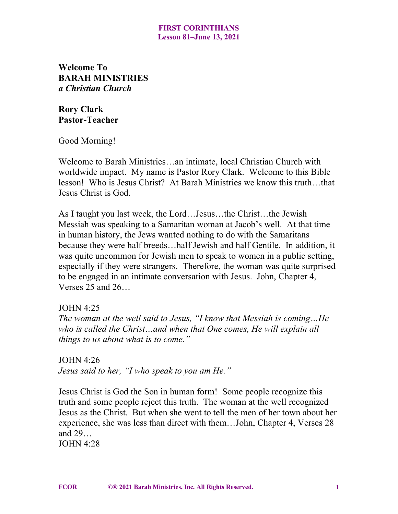**Welcome To BARAH MINISTRIES** *a Christian Church*

**Rory Clark Pastor-Teacher**

Good Morning!

Welcome to Barah Ministries…an intimate, local Christian Church with worldwide impact. My name is Pastor Rory Clark. Welcome to this Bible lesson! Who is Jesus Christ? At Barah Ministries we know this truth…that Jesus Christ is God.

As I taught you last week, the Lord…Jesus…the Christ…the Jewish Messiah was speaking to a Samaritan woman at Jacob's well. At that time in human history, the Jews wanted nothing to do with the Samaritans because they were half breeds…half Jewish and half Gentile. In addition, it was quite uncommon for Jewish men to speak to women in a public setting, especially if they were strangers. Therefore, the woman was quite surprised to be engaged in an intimate conversation with Jesus. John, Chapter 4, Verses 25 and 26…

### JOHN 4:25

*The woman at the well said to Jesus, "I know that Messiah is coming…He who is called the Christ…and when that One comes, He will explain all things to us about what is to come."*

JOHN 4:26 *Jesus said to her, "I who speak to you am He."*

Jesus Christ is God the Son in human form! Some people recognize this truth and some people reject this truth. The woman at the well recognized Jesus as the Christ. But when she went to tell the men of her town about her experience, she was less than direct with them…John, Chapter 4, Verses 28 and 29…

IOHN  $4.28$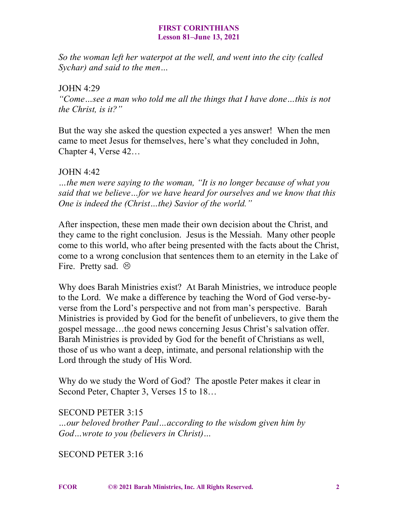*So the woman left her waterpot at the well, and went into the city (called Sychar) and said to the men…*

## JOHN 4:29

*"Come…see a man who told me all the things that I have done…this is not the Christ, is it?"*

But the way she asked the question expected a yes answer! When the men came to meet Jesus for themselves, here's what they concluded in John, Chapter 4, Verse 42…

# JOHN 4:42

*…the men were saying to the woman, "It is no longer because of what you said that we believe…for we have heard for ourselves and we know that this One is indeed the (Christ…the) Savior of the world."*

After inspection, these men made their own decision about the Christ, and they came to the right conclusion. Jesus is the Messiah. Many other people come to this world, who after being presented with the facts about the Christ, come to a wrong conclusion that sentences them to an eternity in the Lake of Fire. Pretty sad.  $\odot$ 

Why does Barah Ministries exist? At Barah Ministries, we introduce people to the Lord. We make a difference by teaching the Word of God verse-byverse from the Lord's perspective and not from man's perspective. Barah Ministries is provided by God for the benefit of unbelievers, to give them the gospel message…the good news concerning Jesus Christ's salvation offer. Barah Ministries is provided by God for the benefit of Christians as well, those of us who want a deep, intimate, and personal relationship with the Lord through the study of His Word.

Why do we study the Word of God? The apostle Peter makes it clear in Second Peter, Chapter 3, Verses 15 to  $18...$ 

SECOND PETER 3:15 *…our beloved brother Paul…according to the wisdom given him by God…wrote to you (believers in Christ)…*

SECOND PETER 3:16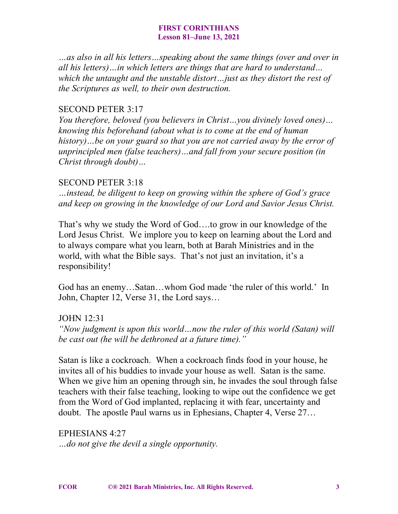*…as also in all his letters…speaking about the same things (over and over in all his letters)…in which letters are things that are hard to understand… which the untaught and the unstable distort…just as they distort the rest of the Scriptures as well, to their own destruction.*

## SECOND PETER 3:17

*You therefore, beloved (you believers in Christ…you divinely loved ones)… knowing this beforehand (about what is to come at the end of human history)…be on your guard so that you are not carried away by the error of unprincipled men (false teachers)…and fall from your secure position (in Christ through doubt)…*

## SECOND PETER 3:18

*…instead, be diligent to keep on growing within the sphere of God's grace and keep on growing in the knowledge of our Lord and Savior Jesus Christ.*

That's why we study the Word of God….to grow in our knowledge of the Lord Jesus Christ. We implore you to keep on learning about the Lord and to always compare what you learn, both at Barah Ministries and in the world, with what the Bible says. That's not just an invitation, it's a responsibility!

God has an enemy…Satan…whom God made 'the ruler of this world.' In John, Chapter 12, Verse 31, the Lord says…

JOHN 12:31

*"Now judgment is upon this world…now the ruler of this world (Satan) will be cast out (he will be dethroned at a future time)."*

Satan is like a cockroach. When a cockroach finds food in your house, he invites all of his buddies to invade your house as well. Satan is the same. When we give him an opening through sin, he invades the soul through false teachers with their false teaching, looking to wipe out the confidence we get from the Word of God implanted, replacing it with fear, uncertainty and doubt. The apostle Paul warns us in Ephesians, Chapter 4, Verse 27…

EPHESIANS 4:27 *…do not give the devil a single opportunity.*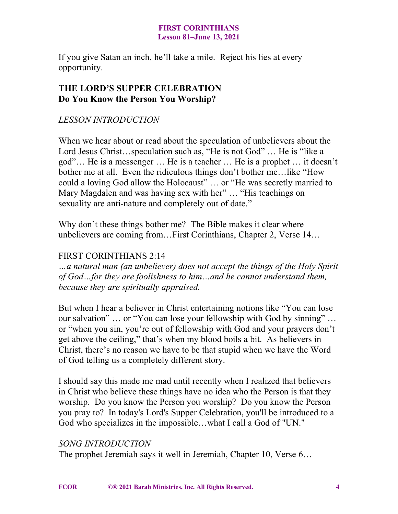If you give Satan an inch, he'll take a mile. Reject his lies at every opportunity.

# **THE LORD'S SUPPER CELEBRATION Do You Know the Person You Worship?**

# *LESSON INTRODUCTION*

When we hear about or read about the speculation of unbelievers about the Lord Jesus Christ...speculation such as, "He is not God" ... He is "like a god"… He is a messenger … He is a teacher … He is a prophet … it doesn't bother me at all. Even the ridiculous things don't bother me…like "How could a loving God allow the Holocaust" … or "He was secretly married to Mary Magdalen and was having sex with her" ... "His teachings on sexuality are anti-nature and completely out of date."

Why don't these things bother me? The Bible makes it clear where unbelievers are coming from…First Corinthians, Chapter 2, Verse 14…

## FIRST CORINTHIANS 2:14

*…a natural man (an unbeliever) does not accept the things of the Holy Spirit of God…for they are foolishness to him…and he cannot understand them, because they are spiritually appraised.*

But when I hear a believer in Christ entertaining notions like "You can lose our salvation" … or "You can lose your fellowship with God by sinning" … or "when you sin, you're out of fellowship with God and your prayers don't get above the ceiling," that's when my blood boils a bit. As believers in Christ, there's no reason we have to be that stupid when we have the Word of God telling us a completely different story.

I should say this made me mad until recently when I realized that believers in Christ who believe these things have no idea who the Person is that they worship. Do you know the Person you worship? Do you know the Person you pray to? In today's Lord's Supper Celebration, you'll be introduced to a God who specializes in the impossible…what I call a God of "UN."

# *SONG INTRODUCTION*

The prophet Jeremiah says it well in Jeremiah, Chapter 10, Verse 6…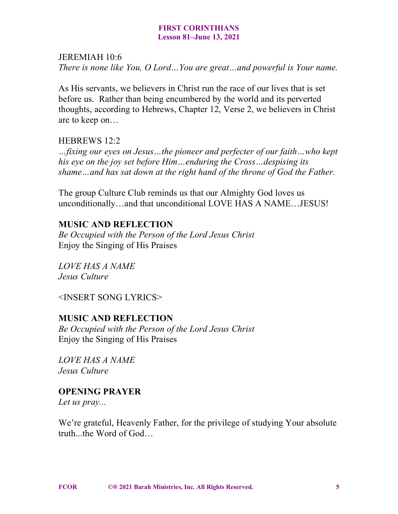### JEREMIAH 10:6

*There is none like You, O Lord…You are great…and powerful is Your name.*

As His servants, we believers in Christ run the race of our lives that is set before us. Rather than being encumbered by the world and its perverted thoughts, according to Hebrews, Chapter 12, Verse 2, we believers in Christ are to keep on…

# HEBREWS 12:2

*…fixing our eyes on Jesus…the pioneer and perfecter of our faith…who kept his eye on the joy set before Him…enduring the Cross…despising its shame…and has sat down at the right hand of the throne of God the Father.*

The group Culture Club reminds us that our Almighty God loves us unconditionally…and that unconditional LOVE HAS A NAME…JESUS!

# **MUSIC AND REFLECTION**

*Be Occupied with the Person of the Lord Jesus Christ* Enjoy the Singing of His Praises

*LOVE HAS A NAME Jesus Culture*

<INSERT SONG LYRICS>

# **MUSIC AND REFLECTION**

*Be Occupied with the Person of the Lord Jesus Christ* Enjoy the Singing of His Praises

*LOVE HAS A NAME Jesus Culture*

# **OPENING PRAYER**

*Let us pray...*

We're grateful, Heavenly Father, for the privilege of studying Your absolute truth the Word of God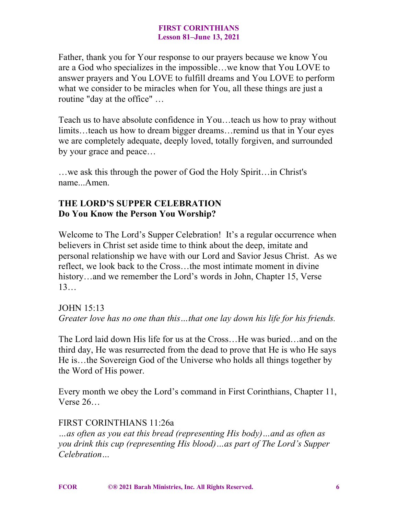Father, thank you for Your response to our prayers because we know You are a God who specializes in the impossible…we know that You LOVE to answer prayers and You LOVE to fulfill dreams and You LOVE to perform what we consider to be miracles when for You, all these things are just a routine "day at the office" …

Teach us to have absolute confidence in You…teach us how to pray without limits…teach us how to dream bigger dreams…remind us that in Your eyes we are completely adequate, deeply loved, totally forgiven, and surrounded by your grace and peace…

…we ask this through the power of God the Holy Spirit…in Christ's name...Amen.

# **THE LORD'S SUPPER CELEBRATION Do You Know the Person You Worship?**

Welcome to The Lord's Supper Celebration! It's a regular occurrence when believers in Christ set aside time to think about the deep, imitate and personal relationship we have with our Lord and Savior Jesus Christ. As we reflect, we look back to the Cross…the most intimate moment in divine history...and we remember the Lord's words in John, Chapter 15, Verse 13…

JOHN 15:13 *Greater love has no one than this…that one lay down his life for his friends.*

The Lord laid down His life for us at the Cross…He was buried…and on the third day, He was resurrected from the dead to prove that He is who He says He is…the Sovereign God of the Universe who holds all things together by the Word of His power.

Every month we obey the Lord's command in First Corinthians, Chapter 11, Verse 26…

# FIRST CORINTHIANS 11:26a

*…as often as you eat this bread (representing His body)…and as often as you drink this cup (representing His blood)…as part of The Lord's Supper Celebration…*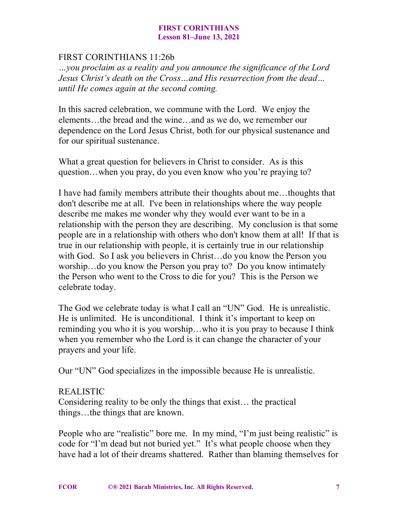# FIRST CORINTHIANS 11:26b

*…you proclaim as a reality and you announce the significance of the Lord Jesus Christ's death on the Cross…and His resurrection from the dead… until He comes again at the second coming.*

In this sacred celebration, we commune with the Lord. We enjoy the elements…the bread and the wine…and as we do, we remember our dependence on the Lord Jesus Christ, both for our physical sustenance and for our spiritual sustenance.

What a great question for believers in Christ to consider. As is this question…when you pray, do you even know who you're praying to?

I have had family members attribute their thoughts about me…thoughts that don't describe me at all. I've been in relationships where the way people describe me makes me wonder why they would ever want to be in a relationship with the person they are describing. My conclusion is that some people are in a relationship with others who don't know them at all! If that is true in our relationship with people, it is certainly true in our relationship with God. So I ask you believers in Christ...do you know the Person you worship…do you know the Person you pray to? Do you know intimately the Person who went to the Cross to die for you? This is the Person we celebrate today.

The God we celebrate today is what I call an "UN" God. He is unrealistic. He is unlimited. He is unconditional. I think it's important to keep on reminding you who it is you worship…who it is you pray to because I think when you remember who the Lord is it can change the character of your prayers and your life.

Our "UN" God specializes in the impossible because He is unrealistic.

### REALISTIC

Considering reality to be only the things that exist… the practical things…the things that are known.

People who are "realistic" bore me. In my mind, "I'm just being realistic" is code for "I'm dead but not buried yet." It's what people choose when they have had a lot of their dreams shattered. Rather than blaming themselves for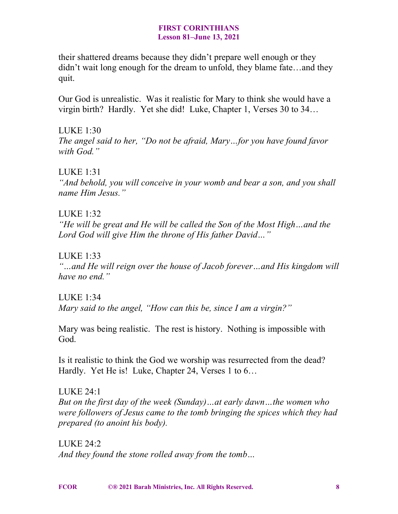their shattered dreams because they didn't prepare well enough or they didn't wait long enough for the dream to unfold, they blame fate…and they quit.

Our God is unrealistic. Was it realistic for Mary to think she would have a virgin birth? Hardly. Yet she did! Luke, Chapter 1, Verses 30 to 34…

LUKE 1:30 *The angel said to her, "Do not be afraid, Mary…for you have found favor with God."*

LUKE 1:31

*"And behold, you will conceive in your womb and bear a son, and you shall name Him Jesus."*

LUKE  $1:32$ 

*"He will be great and He will be called the Son of the Most High…and the Lord God will give Him the throne of His father David…"*

LUKE 1:33

*"…and He will reign over the house of Jacob forever…and His kingdom will have no end."*

LUKE  $1:34$ *Mary said to the angel, "How can this be, since I am a virgin?"*

Mary was being realistic. The rest is history. Nothing is impossible with God.

Is it realistic to think the God we worship was resurrected from the dead? Hardly. Yet He is! Luke, Chapter 24, Verses 1 to 6...

LUKE 24:1 *But on the first day of the week (Sunday)…at early dawn…the women who were followers of Jesus came to the tomb bringing the spices which they had prepared (to anoint his body).*

LUKE 24:2 *And they found the stone rolled away from the tomb…*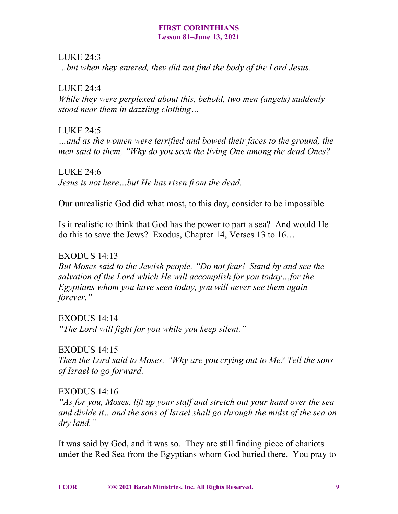## LUKE 24:3

*…but when they entered, they did not find the body of the Lord Jesus.*

## LUKE 24:4

*While they were perplexed about this, behold, two men (angels) suddenly stood near them in dazzling clothing…*

# LUKE 24:5

*…and as the women were terrified and bowed their faces to the ground, the men said to them, "Why do you seek the living One among the dead Ones?*

# LUKE 24:6 *Jesus is not here…but He has risen from the dead.*

Our unrealistic God did what most, to this day, consider to be impossible

Is it realistic to think that God has the power to part a sea? And would He do this to save the Jews? Exodus, Chapter 14, Verses 13 to 16…

# EXODUS 14:13

*But Moses said to the Jewish people, "Do not fear! Stand by and see the salvation of the Lord which He will accomplish for you today…for the Egyptians whom you have seen today, you will never see them again forever."*

# EXODUS 14:14

*"The Lord will fight for you while you keep silent."*

# EXODUS 14:15

*Then the Lord said to Moses, "Why are you crying out to Me? Tell the sons of Israel to go forward.*

# EXODUS 14:16

*"As for you, Moses, lift up your staff and stretch out your hand over the sea and divide it…and the sons of Israel shall go through the midst of the sea on dry land."*

It was said by God, and it was so. They are still finding piece of chariots under the Red Sea from the Egyptians whom God buried there. You pray to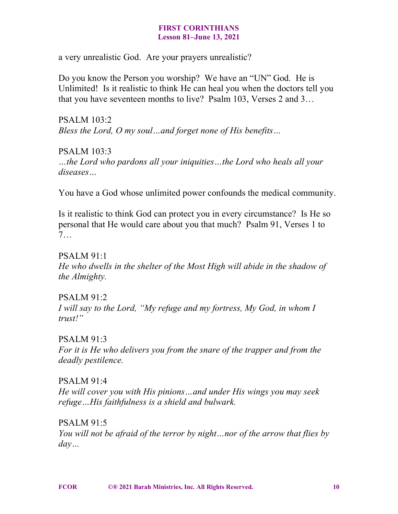a very unrealistic God. Are your prayers unrealistic?

Do you know the Person you worship? We have an "UN" God. He is Unlimited! Is it realistic to think He can heal you when the doctors tell you that you have seventeen months to live? Psalm 103, Verses 2 and 3…

PSALM 103:2 *Bless the Lord, O my soul…and forget none of His benefits…*

PSALM 103:3 *…the Lord who pardons all your iniquities…the Lord who heals all your diseases…*

You have a God whose unlimited power confounds the medical community.

Is it realistic to think God can protect you in every circumstance? Is He so personal that He would care about you that much? Psalm 91, Verses 1 to 7…

PSALM 91:1 *He who dwells in the shelter of the Most High will abide in the shadow of the Almighty.*

 $PSAIM 91.2$ *I will say to the Lord, "My refuge and my fortress, My God, in whom I trust!"*

PSALM 91:3 *For it is He who delivers you from the snare of the trapper and from the deadly pestilence.*

PSALM 91:4 *He will cover you with His pinions…and under His wings you may seek refuge…His faithfulness is a shield and bulwark.*

PSALM 91:5 *You will not be afraid of the terror by night…nor of the arrow that flies by day…*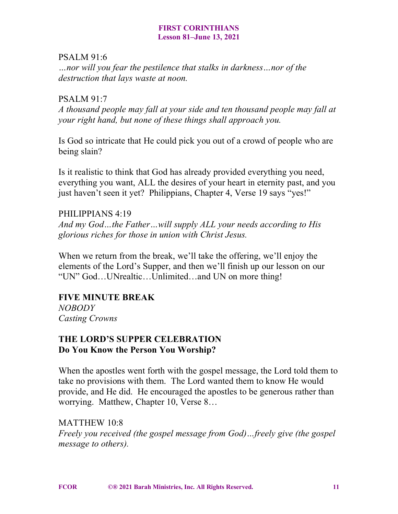### PSALM 91:6

*…nor will you fear the pestilence that stalks in darkness…nor of the destruction that lays waste at noon.*

## PSALM 91:7

*A thousand people may fall at your side and ten thousand people may fall at your right hand, but none of these things shall approach you.*

Is God so intricate that He could pick you out of a crowd of people who are being slain?

Is it realistic to think that God has already provided everything you need, everything you want, ALL the desires of your heart in eternity past, and you just haven't seen it yet? Philippians, Chapter 4, Verse 19 says "yes!"

# PHILIPPIANS 4:19

*And my God…the Father…will supply ALL your needs according to His glorious riches for those in union with Christ Jesus.*

When we return from the break, we'll take the offering, we'll enjoy the elements of the Lord's Supper, and then we'll finish up our lesson on our "UN" God…UNrealtic…Unlimited…and UN on more thing!

# **FIVE MINUTE BREAK**

*NOBODY Casting Crowns*

# **THE LORD'S SUPPER CELEBRATION Do You Know the Person You Worship?**

When the apostles went forth with the gospel message, the Lord told them to take no provisions with them. The Lord wanted them to know He would provide, and He did. He encouraged the apostles to be generous rather than worrying. Matthew, Chapter 10, Verse 8…

MATTHEW 10:8 *Freely you received (the gospel message from God)…freely give (the gospel message to others).*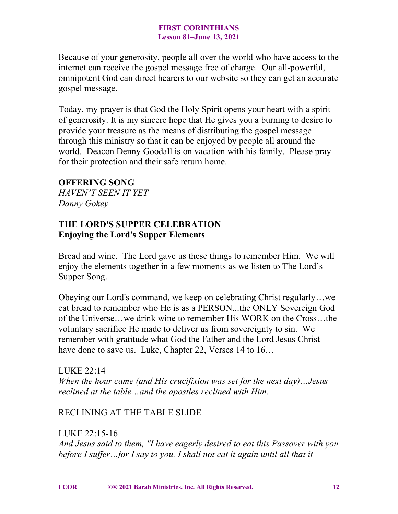Because of your generosity, people all over the world who have access to the internet can receive the gospel message free of charge. Our all-powerful, omnipotent God can direct hearers to our website so they can get an accurate gospel message.

Today, my prayer is that God the Holy Spirit opens your heart with a spirit of generosity. It is my sincere hope that He gives you a burning to desire to provide your treasure as the means of distributing the gospel message through this ministry so that it can be enjoyed by people all around the world. Deacon Denny Goodall is on vacation with his family. Please pray for their protection and their safe return home.

## **OFFERING SONG**

*HAVEN'T SEEN IT YET Danny Gokey*

# **THE LORD'S SUPPER CELEBRATION Enjoying the Lord's Supper Elements**

Bread and wine. The Lord gave us these things to remember Him. We will enjoy the elements together in a few moments as we listen to The Lord's Supper Song.

Obeying our Lord's command, we keep on celebrating Christ regularly…we eat bread to remember who He is as a PERSON...the ONLY Sovereign God of the Universe…we drink wine to remember His WORK on the Cross…the voluntary sacrifice He made to deliver us from sovereignty to sin. We remember with gratitude what God the Father and the Lord Jesus Christ have done to save us. Luke, Chapter 22, Verses 14 to 16...

LUKE  $22.14$ *When the hour came (and His crucifixion was set for the next day)…Jesus reclined at the table…and the apostles reclined with Him.*

# RECLINING AT THE TABLE SLIDE

LUKE 22:15-16 *And Jesus said to them, "I have eagerly desired to eat this Passover with you before I suffer…for I say to you, I shall not eat it again until all that it*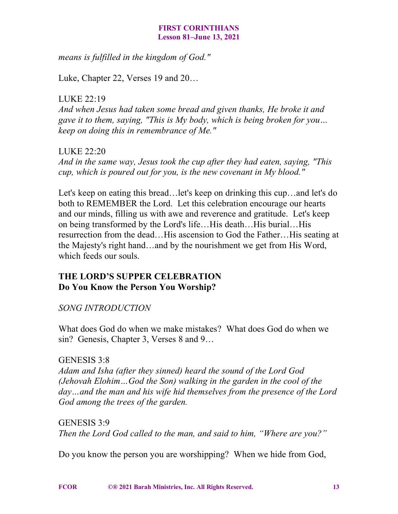*means is fulfilled in the kingdom of God."*

Luke, Chapter 22, Verses 19 and 20…

LUKE 22:19

*And when Jesus had taken some bread and given thanks, He broke it and gave it to them, saying, "This is My body, which is being broken for you… keep on doing this in remembrance of Me."*

LUKE 22:20 *And in the same way, Jesus took the cup after they had eaten, saying, "This cup, which is poured out for you, is the new covenant in My blood."*

Let's keep on eating this bread…let's keep on drinking this cup…and let's do both to REMEMBER the Lord. Let this celebration encourage our hearts and our minds, filling us with awe and reverence and gratitude. Let's keep on being transformed by the Lord's life…His death…His burial…His resurrection from the dead…His ascension to God the Father…His seating at the Majesty's right hand…and by the nourishment we get from His Word, which feeds our souls.

# **THE LORD'S SUPPER CELEBRATION Do You Know the Person You Worship?**

# *SONG INTRODUCTION*

What does God do when we make mistakes? What does God do when we sin? Genesis, Chapter 3, Verses 8 and 9...

# GENESIS 3:8

*Adam and Isha (after they sinned) heard the sound of the Lord God (Jehovah Elohim…God the Son) walking in the garden in the cool of the day…and the man and his wife hid themselves from the presence of the Lord God among the trees of the garden.*

GENESIS 3:9 *Then the Lord God called to the man, and said to him, "Where are you?"*

Do you know the person you are worshipping? When we hide from God,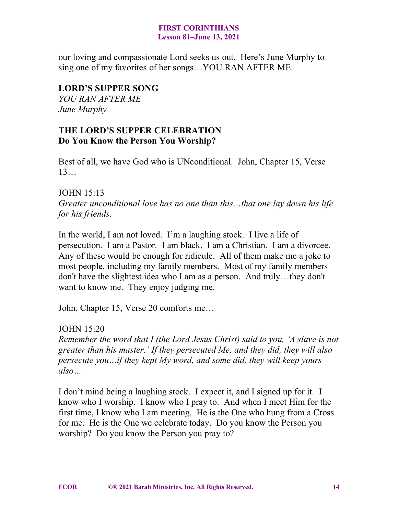our loving and compassionate Lord seeks us out. Here's June Murphy to sing one of my favorites of her songs…YOU RAN AFTER ME.

# **LORD'S SUPPER SONG**

*YOU RAN AFTER ME June Murphy*

# **THE LORD'S SUPPER CELEBRATION Do You Know the Person You Worship?**

Best of all, we have God who is UNconditional. John, Chapter 15, Verse 13…

# JOHN 15:13

*Greater unconditional love has no one than this…that one lay down his life for his friends.*

In the world, I am not loved. I'm a laughing stock. I live a life of persecution. I am a Pastor. I am black. I am a Christian. I am a divorcee. Any of these would be enough for ridicule. All of them make me a joke to most people, including my family members. Most of my family members don't have the slightest idea who I am as a person. And truly…they don't want to know me. They enjoy judging me.

John, Chapter 15, Verse 20 comforts me…

# JOHN 15:20

*Remember the word that I (the Lord Jesus Christ) said to you, 'A slave is not greater than his master.' If they persecuted Me, and they did, they will also persecute you…if they kept My word, and some did, they will keep yours also…*

I don't mind being a laughing stock. I expect it, and I signed up for it. I know who I worship. I know who I pray to. And when I meet Him for the first time, I know who I am meeting. He is the One who hung from a Cross for me. He is the One we celebrate today. Do you know the Person you worship? Do you know the Person you pray to?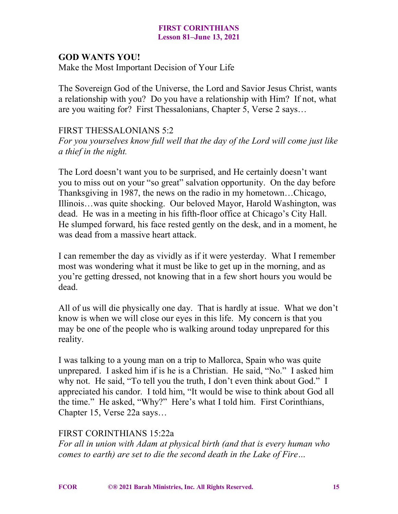## **GOD WANTS YOU!**

Make the Most Important Decision of Your Life

The Sovereign God of the Universe, the Lord and Savior Jesus Christ, wants a relationship with you? Do you have a relationship with Him? If not, what are you waiting for? First Thessalonians, Chapter 5, Verse 2 says…

## FIRST THESSALONIANS 5:2

*For you yourselves know full well that the day of the Lord will come just like a thief in the night.*

The Lord doesn't want you to be surprised, and He certainly doesn't want you to miss out on your "so great" salvation opportunity. On the day before Thanksgiving in 1987, the news on the radio in my hometown…Chicago, Illinois…was quite shocking. Our beloved Mayor, Harold Washington, was dead. He was in a meeting in his fifth-floor office at Chicago's City Hall. He slumped forward, his face rested gently on the desk, and in a moment, he was dead from a massive heart attack.

I can remember the day as vividly as if it were yesterday. What I remember most was wondering what it must be like to get up in the morning, and as you're getting dressed, not knowing that in a few short hours you would be dead.

All of us will die physically one day. That is hardly at issue. What we don't know is when we will close our eyes in this life. My concern is that you may be one of the people who is walking around today unprepared for this reality.

I was talking to a young man on a trip to Mallorca, Spain who was quite unprepared. I asked him if is he is a Christian. He said, "No." I asked him why not. He said, "To tell you the truth, I don't even think about God." I appreciated his candor. I told him, "It would be wise to think about God all the time." He asked, "Why?" Here's what I told him. First Corinthians, Chapter 15, Verse 22a says…

# FIRST CORINTHIANS 15:22a

*For all in union with Adam at physical birth (and that is every human who comes to earth) are set to die the second death in the Lake of Fire…*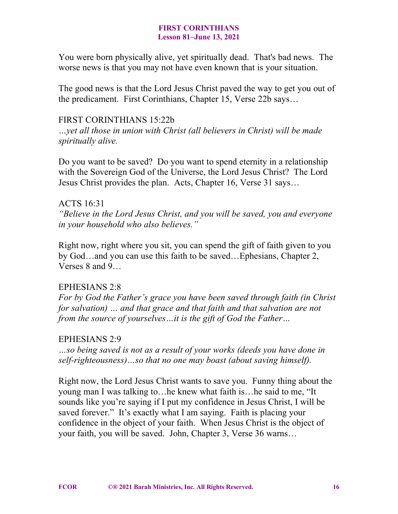You were born physically alive, yet spiritually dead. That's bad news. The worse news is that you may not have even known that is your situation.

The good news is that the Lord Jesus Christ paved the way to get you out of the predicament. First Corinthians, Chapter 15, Verse 22b says…

## FIRST CORINTHIANS 15:22b

*…yet all those in union with Christ (all believers in Christ) will be made spiritually alive.*

Do you want to be saved? Do you want to spend eternity in a relationship with the Sovereign God of the Universe, the Lord Jesus Christ? The Lord Jesus Christ provides the plan. Acts, Chapter 16, Verse 31 says…

## ACTS 16:31

*"Believe in the Lord Jesus Christ, and you will be saved, you and everyone in your household who also believes."*

Right now, right where you sit, you can spend the gift of faith given to you by God…and you can use this faith to be saved…Ephesians, Chapter 2, Verses 8 and 9…

# EPHESIANS 2:8

*For by God the Father's grace you have been saved through faith (in Christ for salvation) … and that grace and that faith and that salvation are not from the source of yourselves…it is the gift of God the Father…*

# EPHESIANS 2:9

*…so being saved is not as a result of your works (deeds you have done in self-righteousness)…so that no one may boast (about saving himself).*

Right now, the Lord Jesus Christ wants to save you. Funny thing about the young man I was talking to…he knew what faith is…he said to me, "It sounds like you're saying if I put my confidence in Jesus Christ, I will be saved forever." It's exactly what I am saying. Faith is placing your confidence in the object of your faith. When Jesus Christ is the object of your faith, you will be saved. John, Chapter 3, Verse 36 warns…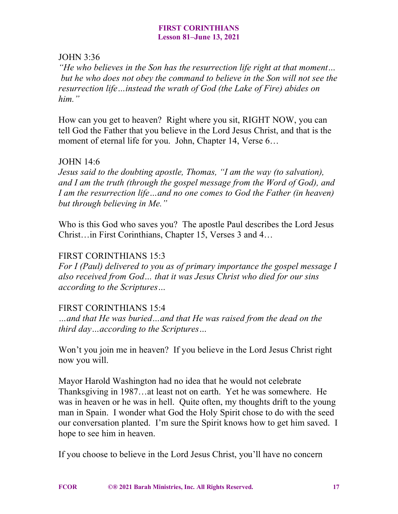## JOHN 3:36

*"He who believes in the Son has the resurrection life right at that moment… but he who does not obey the command to believe in the Son will not see the resurrection life…instead the wrath of God (the Lake of Fire) abides on him."*

How can you get to heaven? Right where you sit, RIGHT NOW, you can tell God the Father that you believe in the Lord Jesus Christ, and that is the moment of eternal life for you. John, Chapter 14, Verse  $6...$ 

# JOHN 14:6

*Jesus said to the doubting apostle, Thomas, "I am the way (to salvation), and I am the truth (through the gospel message from the Word of God), and I am the resurrection life…and no one comes to God the Father (in heaven) but through believing in Me."*

Who is this God who saves you? The apostle Paul describes the Lord Jesus Christ…in First Corinthians, Chapter 15, Verses 3 and 4…

## FIRST CORINTHIANS 15:3

*For I (Paul) delivered to you as of primary importance the gospel message I also received from God… that it was Jesus Christ who died for our sins according to the Scriptures…*

# FIRST CORINTHIANS 15:4

*…and that He was buried…and that He was raised from the dead on the third day…according to the Scriptures…*

Won't you join me in heaven? If you believe in the Lord Jesus Christ right now you will.

Mayor Harold Washington had no idea that he would not celebrate Thanksgiving in 1987…at least not on earth. Yet he was somewhere. He was in heaven or he was in hell. Quite often, my thoughts drift to the young man in Spain. I wonder what God the Holy Spirit chose to do with the seed our conversation planted. I'm sure the Spirit knows how to get him saved. I hope to see him in heaven.

If you choose to believe in the Lord Jesus Christ, you'll have no concern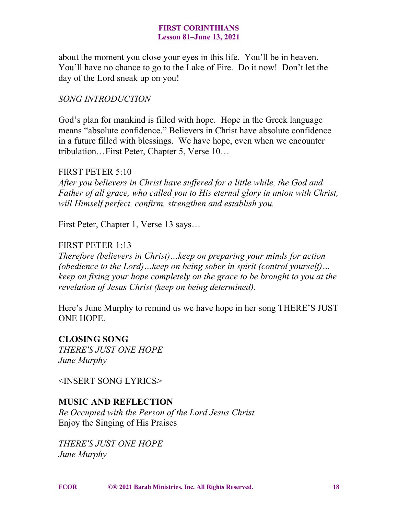about the moment you close your eyes in this life. You'll be in heaven. You'll have no chance to go to the Lake of Fire. Do it now! Don't let the day of the Lord sneak up on you!

# *SONG INTRODUCTION*

God's plan for mankind is filled with hope. Hope in the Greek language means "absolute confidence." Believers in Christ have absolute confidence in a future filled with blessings. We have hope, even when we encounter tribulation…First Peter, Chapter 5, Verse 10…

### FIRST PETER 5:10

*After you believers in Christ have suffered for a little while, the God and Father of all grace, who called you to His eternal glory in union with Christ, will Himself perfect, confirm, strengthen and establish you.*

First Peter, Chapter 1, Verse 13 says…

### FIRST PETER 1:13

*Therefore (believers in Christ)…keep on preparing your minds for action (obedience to the Lord)…keep on being sober in spirit (control yourself)… keep on fixing your hope completely on the grace to be brought to you at the revelation of Jesus Christ (keep on being determined).*

Here's June Murphy to remind us we have hope in her song THERE'S JUST ONE HOPE.

# **CLOSING SONG**

*THERE'S JUST ONE HOPE June Murphy*

<INSERT SONG LYRICS>

# **MUSIC AND REFLECTION**

*Be Occupied with the Person of the Lord Jesus Christ* Enjoy the Singing of His Praises

*THERE'S JUST ONE HOPE June Murphy*